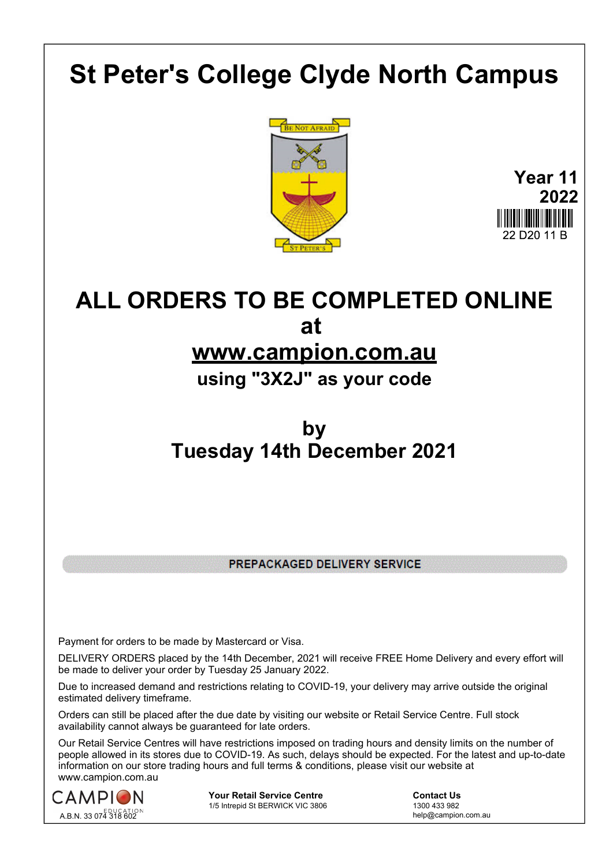# **St Peter's College Clyde North Campus**



**Year 11 2022** 22 D<sub>20</sub> 11 B

## **ALL ORDERS TO BE COMPLETED ONLINE at**

### **www.campion.com.au**

**using "3X2J" as your code**

## **by Tuesday 14th December 2021**

PREPACKAGED DELIVERY SERVICE

Payment for orders to be made by Mastercard or Visa.

DELIVERY ORDERS placed by the 14th December, 2021 will receive FREE Home Delivery and every effort will be made to deliver your order by Tuesday 25 January 2022.

Due to increased demand and restrictions relating to COVID-19, your delivery may arrive outside the original estimated delivery timeframe.

Orders can still be placed after the due date by visiting our website or Retail Service Centre. Full stock availability cannot always be guaranteed for late orders.

Our Retail Service Centres will have restrictions imposed on trading hours and density limits on the number of people allowed in its stores due to COVID-19. As such, delays should be expected. For the latest and up-to-date information on our store trading hours and full terms & conditions, please visit our website at www.campion.com.au



**Your Retail Service Centre** <br>
1/5 Intrepid St BERWICK VIC 3806<br>
1300 433 982 1/5 Intrepid St BERWICK VIC 3806

help@campion.com.au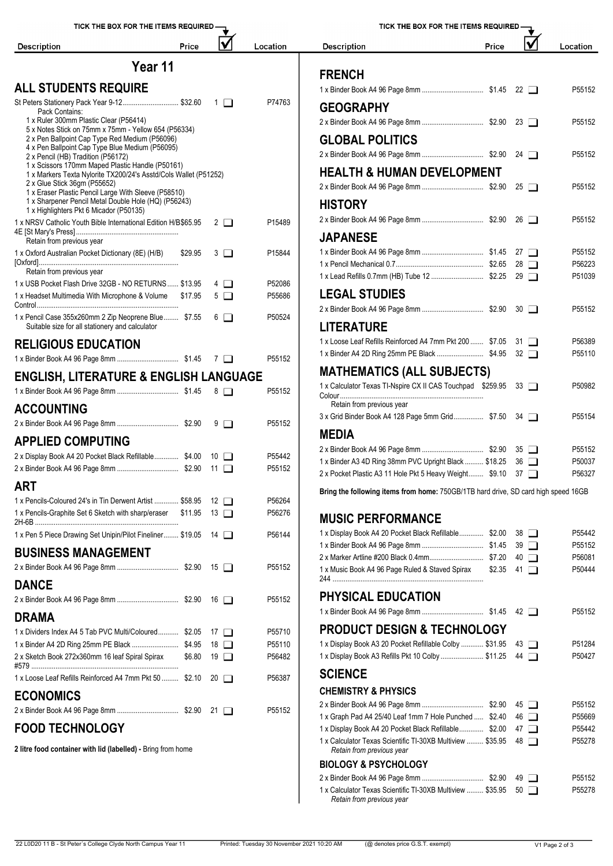| TICK THE BOX FOR THE ITEMS REQUIRED -                                                                        |         |                           |          |                                                                                    | TICK THE BOX FOR THE ITEMS REQUIRED - |             |                  |
|--------------------------------------------------------------------------------------------------------------|---------|---------------------------|----------|------------------------------------------------------------------------------------|---------------------------------------|-------------|------------------|
| <b>Description</b>                                                                                           | Price   | $\boldsymbol{\mathsf{V}}$ | Location | <b>Description</b>                                                                 | Price                                 |             | Location         |
|                                                                                                              | Year 11 |                           |          |                                                                                    |                                       |             |                  |
| <b>ALL STUDENTS REQUIRE</b>                                                                                  |         |                           |          | <b>FRENCH</b>                                                                      |                                       |             |                  |
| St Peters Stationery Pack Year 9-12 \$32.60                                                                  |         | $\Box$                    | P74763   |                                                                                    |                                       |             | P55152           |
| Pack Contains:                                                                                               |         |                           |          | <b>GEOGRAPHY</b>                                                                   |                                       |             |                  |
| 1 x Ruler 300mm Plastic Clear (P56414)<br>5 x Notes Stick on 75mm x 75mm - Yellow 654 (P56334)               |         |                           |          |                                                                                    |                                       |             | P55152           |
| 2 x Pen Ballpoint Cap Type Red Medium (P56096)                                                               |         |                           |          | <b>GLOBAL POLITICS</b>                                                             |                                       |             |                  |
| 4 x Pen Ballpoint Cap Type Blue Medium (P56095)<br>2 x Pencil (HB) Tradition (P56172)                        |         |                           |          |                                                                                    |                                       |             | P55152           |
| 1 x Scissors 170mm Maped Plastic Handle (P50161)                                                             |         |                           |          | <b>HEALTH &amp; HUMAN DEVELOPMENT</b>                                              |                                       |             |                  |
| 1 x Markers Texta Nylorite TX200/24's Asstd/Cols Wallet (P51252)<br>2 x Glue Stick 36gm (P55652)             |         |                           |          |                                                                                    |                                       |             | P55152           |
| 1 x Eraser Plastic Pencil Large With Sleeve (P58510)<br>1 x Sharpener Pencil Metal Double Hole (HQ) (P56243) |         |                           |          |                                                                                    |                                       |             |                  |
| 1 x Highlighters Pkt 6 Micador (P50135)                                                                      |         |                           |          | <b>HISTORY</b>                                                                     |                                       |             |                  |
| 1 x NRSV Catholic Youth Bible International Edition H/B\$65.95                                               |         | $2 \Box$                  | P15489   |                                                                                    |                                       |             | P55152           |
| Retain from previous year                                                                                    |         |                           |          | <b>JAPANESE</b>                                                                    |                                       |             |                  |
| 1 x Oxford Australian Pocket Dictionary (8E) (H/B)                                                           | \$29.95 | $3\Box$                   | P15844   |                                                                                    |                                       |             | P55152           |
| Retain from previous year                                                                                    |         |                           |          |                                                                                    |                                       |             | P56223           |
| 1 x USB Pocket Flash Drive 32GB - NO RETURNS  \$13.95                                                        |         | $4\Box$                   | P52086   |                                                                                    |                                       |             | P51039           |
| 1 x Headset Multimedia With Microphone & Volume \$17.95                                                      |         | $5\Box$                   | P55686   | <b>LEGAL STUDIES</b>                                                               |                                       |             |                  |
|                                                                                                              |         |                           | P50524   |                                                                                    |                                       |             | P55152           |
| 1 x Pencil Case 355x260mm 2 Zip Neoprene Blue \$7.55<br>Suitable size for all stationery and calculator      |         | $6\Box$                   |          | <b>LITERATURE</b>                                                                  |                                       |             |                  |
| <b>RELIGIOUS EDUCATION</b>                                                                                   |         |                           |          | 1 x Loose Leaf Refills Reinforced A4 7mm Pkt 200  \$7.05 31                        |                                       |             | P56389           |
|                                                                                                              |         |                           | P55152   |                                                                                    |                                       |             | P55110           |
|                                                                                                              |         |                           |          | <b>MATHEMATICS (ALL SUBJECTS)</b>                                                  |                                       |             |                  |
| <b>ENGLISH, LITERATURE &amp; ENGLISH LANGUAGE</b>                                                            |         |                           |          | 1 x Calculator Texas TI-Nspire CX II CAS Touchpad \$259.95 33                      |                                       |             | P50982           |
|                                                                                                              |         |                           | P55152   |                                                                                    |                                       |             |                  |
| <b>ACCOUNTING</b>                                                                                            |         |                           |          | Retain from previous year<br>3 x Grid Binder Book A4 128 Page 5mm Grid \$7.50 34   |                                       |             | P55154           |
|                                                                                                              |         |                           | P55152   |                                                                                    |                                       |             |                  |
| <b>APPLIED COMPUTING</b>                                                                                     |         |                           |          | <b>MEDIA</b>                                                                       |                                       |             |                  |
| 2 x Display Book A4 20 Pocket Black Refillable \$4.00 10                                                     |         |                           | P55442   | 1 x Binder A3 4D Ring 38mm PVC Upright Black  \$18.25 36                           |                                       |             | P55152<br>P50037 |
|                                                                                                              |         |                           | P55152   | 2 x Pocket Plastic A3 11 Hole Pkt 5 Heavy Weight \$9.10 37                         |                                       |             | P56327           |
| <b>ART</b>                                                                                                   |         |                           |          |                                                                                    |                                       |             |                  |
| 1 x Pencils-Coloured 24's in Tin Derwent Artist  \$58.95                                                     |         | $12$ $\Box$               | P56264   | Bring the following items from home: 750GB/1TB hard drive, SD card high speed 16GB |                                       |             |                  |
| 1 x Pencils-Graphite Set 6 Sketch with sharp/eraser \$11.95                                                  |         | $13$ $\Box$               | P56276   | <b>MUSIC PERFORMANCE</b>                                                           |                                       |             |                  |
|                                                                                                              |         |                           | P56144   | 1 x Display Book A4 20 Pocket Black Refillable \$2.00 38                           |                                       |             | P55442           |
| 1 x Pen 5 Piece Drawing Set Unipin/Pilot Fineliner \$19.05 14                                                |         |                           |          |                                                                                    |                                       |             | P55152           |
| <b>BUSINESS MANAGEMENT</b>                                                                                   |         |                           |          |                                                                                    |                                       | $40$ $\Box$ | P56081           |
|                                                                                                              |         |                           | P55152   | 1 x Music Book A4 96 Page Ruled & Staved Spirax                                    | $$2.35$ 41 $\Box$                     |             | P50444           |
| <b>DANCE</b>                                                                                                 |         |                           |          |                                                                                    |                                       |             |                  |
|                                                                                                              |         |                           | P55152   | <b>PHYSICAL EDUCATION</b>                                                          |                                       |             |                  |
| <b>DRAMA</b>                                                                                                 |         |                           |          |                                                                                    |                                       |             | P55152           |
| 1 x Dividers Index A4 5 Tab PVC Multi/Coloured \$2.05 17                                                     |         |                           | P55710   | <b>PRODUCT DESIGN &amp; TECHNOLOGY</b>                                             |                                       |             |                  |
| 1 x Binder A4 2D Ring 25mm PE Black  \$4.95                                                                  |         | 18 □                      | P55110   | 1 x Display Book A3 20 Pocket Refillable Colby  \$31.95                            |                                       | 43 □        | P51284           |
| 2 x Sketch Book 272x360mm 16 leaf Spiral Spirax                                                              | \$6.80  | $19$ $\Box$               | P56482   | 1 x Display Book A3 Refills Pkt 10 Colby  \$11.25 44                               |                                       |             | P50427           |
| 1 x Loose Leaf Refills Reinforced A4 7mm Pkt 50  \$2.10                                                      |         | $20 \Box$                 | P56387   | <b>SCIENCE</b>                                                                     |                                       |             |                  |
| <b>ECONOMICS</b>                                                                                             |         |                           |          | <b>CHEMISTRY &amp; PHYSICS</b>                                                     |                                       |             |                  |
|                                                                                                              |         |                           | P55152   |                                                                                    |                                       |             | P55152           |
|                                                                                                              |         |                           |          | 1 x Graph Pad A4 25/40 Leaf 1mm 7 Hole Punched  \$2.40 46                          |                                       |             | P55669           |

#### **FOOD TECHNOLOGY**

**2 litre food container with lid (labelled) -** Bring from home

| <b>Description</b>                                         | Price |                      | Location |
|------------------------------------------------------------|-------|----------------------|----------|
|                                                            |       |                      |          |
| <b>FRENCH</b>                                              |       |                      |          |
|                                                            |       | 22 $\Box$            | P55152   |
| <b>GEOGRAPHY</b>                                           |       |                      |          |
|                                                            |       | $23$ $\Box$          | P55152   |
| <b>GLOBAL POLITICS</b>                                     |       |                      |          |
|                                                            |       | 24                   | P55152   |
| <b>HEALTH &amp; HUMAN DEVELOPMENT</b>                      |       |                      |          |
|                                                            |       | $25$ $\Box$          | P55152   |
| <b>HISTORY</b>                                             |       |                      |          |
|                                                            |       | $26$ $\Box$          | P55152   |
| <b>JAPANESE</b>                                            |       |                      |          |
|                                                            |       | 27<br>$\perp$        | P55152   |
|                                                            |       | 28<br>$\Box$         | P56223   |
|                                                            |       | $29$ $\Box$          | P51039   |
| <b>LEGAL STUDIES</b>                                       |       |                      |          |
|                                                            |       | 30<br>$\blacksquare$ | P55152   |
| <b>LITERATURE</b>                                          |       |                      |          |
| 1 x Loose Leaf Refills Reinforced A4 7mm Pkt 200  \$7.05   |       | 31<br>$\blacksquare$ | P56389   |
| 1 x Binder A4 2D Ring 25mm PE Black  \$4.95                |       | $32\Box$             | P55110   |
| <b>MATHEMATICS (ALL SUBJECTS)</b>                          |       |                      |          |
| 1 x Calculator Texas TI-Nspire CX II CAS Touchpad \$259.95 |       | 33 I I               | P50982   |
| Retain from previous year                                  |       |                      |          |
| 3 x Grid Binder Book A4 128 Page 5mm Grid \$7.50           |       | 34<br>$\blacksquare$ | P55154   |
| <b>MEDIA</b>                                               |       |                      |          |
|                                                            |       | 35<br>$\Box$         | P55152   |
| 1 x Binder A3 4D Ring 38mm PVC Upright Black  \$18.25      |       | 36<br>$\Box$         | P50037   |
| 2 x Pocket Plastic A3 11 Hole Pkt 5 Heavy Weight \$9.10    |       | 37 I T               | P56327   |

| 1 x Display Book A4 20 Pocket Black Refillable \$2.00                                   | 38           | $\blacksquare$ | P55442 |
|-----------------------------------------------------------------------------------------|--------------|----------------|--------|
|                                                                                         |              | $39$ $\Box$    | P55152 |
|                                                                                         | 40           | $\Box$         | P56081 |
| 1 x Music Book A4 96 Page Ruled & Staved Spirax                                         | \$2.35<br>41 | $\Box$         | P50444 |
| <b>PHYSICAL EDUCATION</b>                                                               |              |                |        |
|                                                                                         |              | $42 \Box$      | P55152 |
| <b>PRODUCT DESIGN &amp; TECHNOLOGY</b>                                                  |              |                |        |
| 1 x Display Book A3 20 Pocket Refillable Colby  \$31.95                                 |              | $43$ $\Box$    | P51284 |
| 1 x Display Book A3 Refills Pkt 10 Colby  \$11.25                                       |              | $44$ $\Box$    | P50427 |
| <b>SCIENCE</b>                                                                          |              |                |        |
| <b>CHEMISTRY &amp; PHYSICS</b>                                                          |              |                |        |
|                                                                                         |              | $45\Box$       | P55152 |
| 1 x Graph Pad A4 25/40 Leaf 1mm 7 Hole Punched  \$2.40                                  |              | $46$ $\Box$    | P55669 |
| 1 x Display Book A4 20 Pocket Black Refillable \$2.00                                   |              | $47\Box$       | P55442 |
| 1 x Calculator Texas Scientific TI-30XB Multiview  \$35.95<br>Retain from previous year |              | $48$ $\Box$    | P55278 |
| <b>BIOLOGY &amp; PSYCHOLOGY</b>                                                         |              |                |        |
|                                                                                         |              | 49 1           | P55152 |
| 1 x Calculator Texas Scientific TI-30XB Multiview  \$35.95<br>Retain from previous year | 50           | $\blacksquare$ | P55278 |